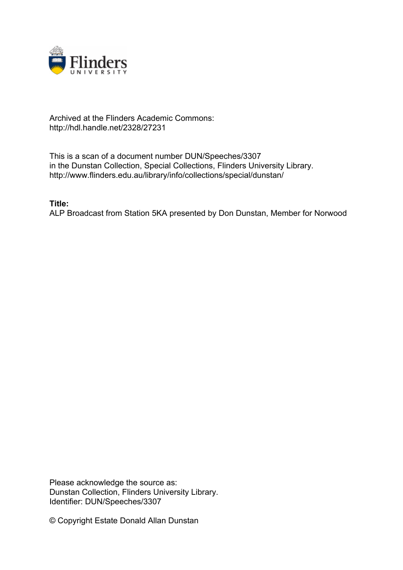

## Archived at the Flinders Academic Commons: http://hdl.handle.net/2328/27231

This is a scan of a document number DUN/Speeches/3307 in the Dunstan Collection, Special Collections, Flinders University Library. http://www.flinders.edu.au/library/info/collections/special/dunstan/

**Title:**

ALP Broadcast from Station 5KA presented by Don Dunstan, Member for Norwood

Please acknowledge the source as: Dunstan Collection, Flinders University Library. Identifier: DUN/Speeches/3307

© Copyright Estate Donald Allan Dunstan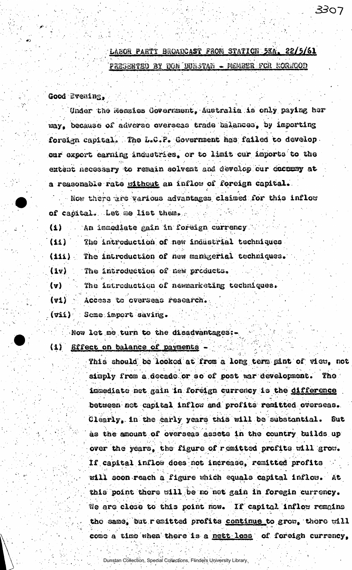## LABOR PARTY BROADCAST FROM STATION 5KA. 22/5/61

3307

PRESENTED BY TON DURSTAN - MEMBER FOR EORMOOD

Good Evening,

Under the Menzies Government, Australia is only paying her way, because of adverse overseas trade balances, by importing foreign capital. The L.C.P. Government has failed to develop. our export earning industries, or to limit cur imports to the extent necessary to remain solvent and devolop our economy at a reasonable rate mithout an inflow of foreign capital.

Now there are various advantages claimed for this inflow of capital. Let me list them.

An immediate gain in foreign corrency.  $\bf{(\Omega)}$ 

 $(11)$ The introduction of new industrial techniques

The introduction of new managerial techniques.  $(11i)$ 

The introduction of new products.  $(1v)$ 

The introduction of newmarketing techniques.  $\{v\}$ 

Access to overseas research. (V1)

Some import saving.  $(vii)$ 

Now let me turn to the disadvantages:-

(1) Brfect on balance of payments

This should be looked at from a long term mint of view, not simply from a decade or so of post war development. The immediate net gain in foreign currency is the difference between not capital inflow and profits remitted overseas. Clearly, in the carly years this will be substantial. But as the amount of overseas assets in the country builds up over the years, the figure of remitted profits will grow. If capital inflow does not increase, remitted profits will soon reach a figure which equals capital inflow. At this point there will be no net gain in foregin currency. We are close to this point now. If capital inflow remains the same, but remitted profits continue to grow, there will como a timo when there is a nett loss of foreigh currency,

Dunstan Collection, Special Collections, Flinders University Library,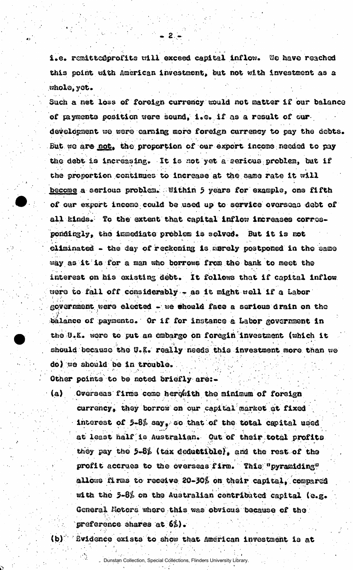i.e. remittedprofits will exceed capital inflow. We have reached this point with American investment, but not with investment as a whole, yet.

 $\mathbf{2}$ 

Such a net loss of foreign currency would not matter if our balance of payments position were sound, i.e. if as a result of our development we were earning more foreign currency to pay the debts. But we are not, the proportion of our export income needed to pay the debt is increasing. It is not yet a serious problem, but if the proportion continues to increase at the same rate it will become a serious problem. Within 5 years for example, one fifth of our export income could be used up to service overseas debt of all kinds. To the extent that capital inflow increases correspondingly, the immediate problem is solved. But it is not climinated - the day of reckoning is merely postponed in the same way as it is for a man who borrows from the bank to meet the interest on his existing debt. It follows that if capital inflow were to fall off considerably - as it might well if a Labor government were elected - we should face a serious drain on the balance of payments. Or if for instance a Labor government in the U.K. were to put an embargo on foregin investment (which it should because the U.K. really needs this investment more than we do) we should be in trouble.

Other points to be noted briefly are:-

 $(a)$ Overseas firms come herewith the minimum of foreign currency, they borrow on our capital market at fixed interest of 5-8% say, so that of the total capital used at least half is Australian. Out of their total profits they pay the 5-8% (tax deductible), and the rest of the profit accrues to the overseas firm. This "pyramiding" allows firms to receive 20-30% on their capital, compared with the 5-8% on the Australian contributed capital (e.g. General Motors where this was obvious because of the preference shares at 62).

 $(b)$ 

Evidence exists to show that American investment is at

- Dunstan Collection, Special Collections, Flinders University Library.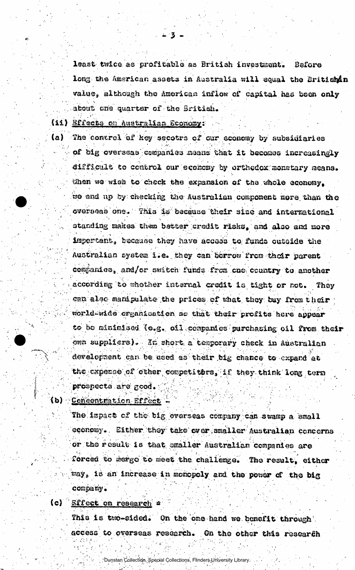least twice as profitable as British investment. Bafore long the American assets in Australia will equal the Britishin value, although the American inflow of capital has been only about one quarter of the Sritish.

(11) Effects on Australian Sconomy:

 $(a)$ 

The control of key secotrs of our economy by subsidiaries of big overseas companies means that it becomes increasingly difficult to control our economy by orthodox monetary means. When we wish to check the expansion of the whole economy. we and up by checking the Australian component more than the overseas one. This is because their size and international standing makes them better credit risks, and also and more impertant, because they have access to funds outside the Australian system i.e. they can berrow from their parent companies, and/or switch funds from one country to another according to whether internal credit is tight or not. They can also manipulate the prices of what they buy from their world-wide creanisation so that their profits here appear to be minimised (e.g. oil companies purchasing oil from their own suppliers). In short a temporary check in Australian development can be used as their big chance to expand at the expense of other cospetitors, if they think long term prospects are good.

(b) Concentration Effect

The impact of the big overseas company can swamp a small economy. Either they take over smaller Australian concerns or the result is that emaller Australian companies are forced to mergo to meet the challenge. The result, either way, is an increase in monopoly and the power of the big company.

**Effect on research a**  $(c)$ 

> This is two-sided. On the one hand we benefit through access to overseas research. On the other this research

> > Dunstan Collection, Special Collections, Flinders University Library